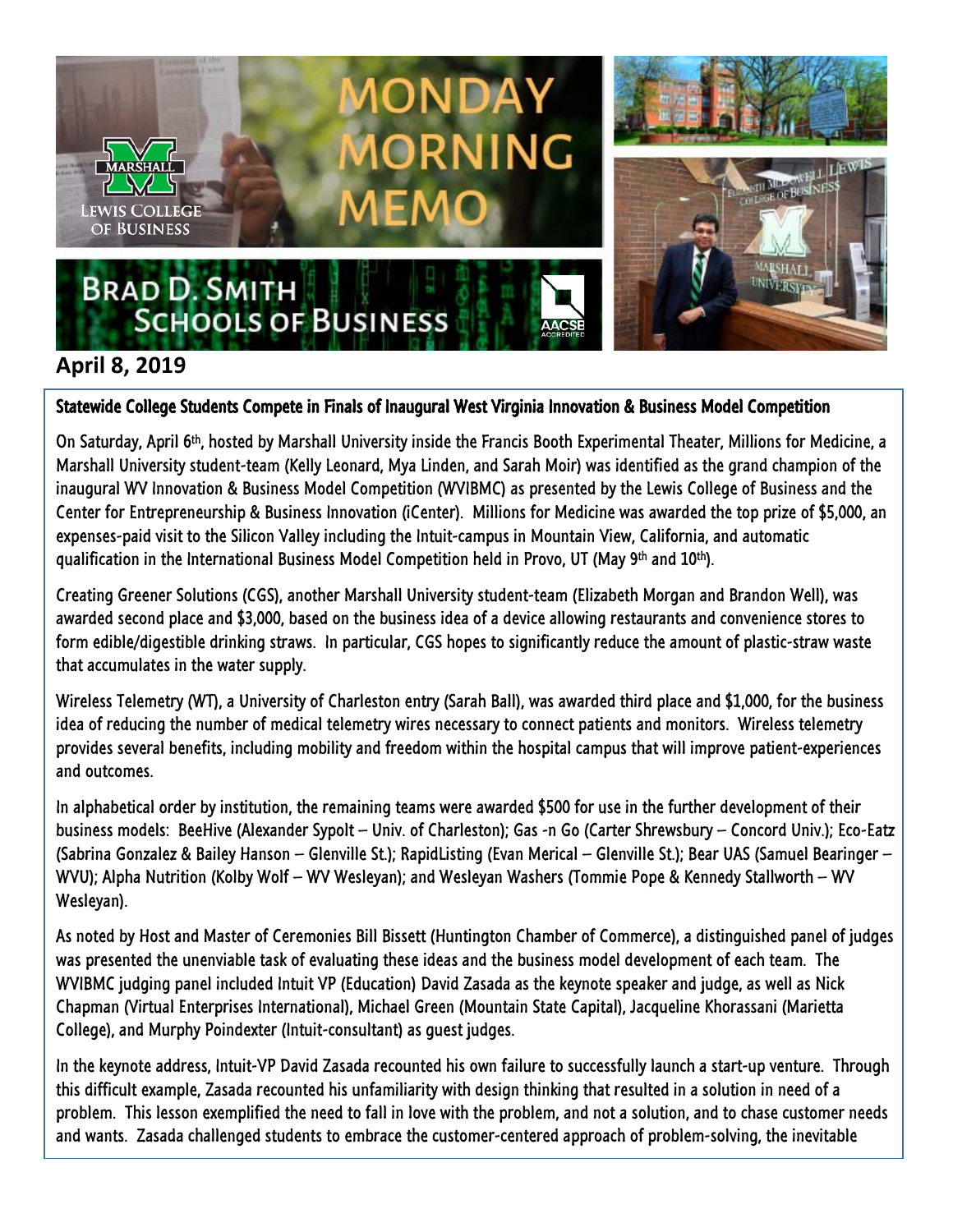

## **April 8, 2019**

## Statewide College Students Compete in Finals of Inaugural West Virginia Innovation & Business Model Competition

On Saturday, April 6th, hosted by Marshall University inside the Francis Booth Experimental Theater, Millions for Medicine, a Marshall University student-team (Kelly Leonard, Mya Linden, and Sarah Moir) was identified as the grand champion of the inaugural WV Innovation & Business Model Competition (WVIBMC) as presented by the Lewis College of Business and the Center for Entrepreneurship & Business Innovation (iCenter). Millions for Medicine was awarded the top prize of \$5,000, an expenses-paid visit to the Silicon Valley including the Intuit-campus in Mountain View, California, and automatic qualification in the International Business Model Competition held in Provo, UT (May 9th and 10th).

Creating Greener Solutions (CGS), another Marshall University student-team (Elizabeth Morgan and Brandon Well), was awarded second place and \$3,000, based on the business idea of a device allowing restaurants and convenience stores to form edible/digestible drinking straws. In particular, CGS hopes to significantly reduce the amount of plastic-straw waste that accumulates in the water supply.

Wireless Telemetry (WT), a University of Charleston entry (Sarah Ball), was awarded third place and \$1,000, for the business idea of reducing the number of medical telemetry wires necessary to connect patients and monitors. Wireless telemetry provides several benefits, including mobility and freedom within the hospital campus that will improve patient-experiences and outcomes.

In alphabetical order by institution, the remaining teams were awarded \$500 for use in the further development of their business models: BeeHive (Alexander Sypolt – Univ. of Charleston); Gas -n Go (Carter Shrewsbury – Concord Univ.); Eco-Eatz (Sabrina Gonzalez & Bailey Hanson – Glenville St.); RapidListing (Evan Merical – Glenville St.); Bear UAS (Samuel Bearinger – WVU); Alpha Nutrition (Kolby Wolf – WV Wesleyan); and Wesleyan Washers (Tommie Pope & Kennedy Stallworth – WV Wesleyan).

As noted by Host and Master of Ceremonies Bill Bissett (Huntington Chamber of Commerce), a distinguished panel of judges was presented the unenviable task of evaluating these ideas and the business model development of each team. The WVIBMC judging panel included Intuit VP (Education) David Zasada as the keynote speaker and judge, as well as Nick Chapman (Virtual Enterprises International), Michael Green (Mountain State Capital), Jacqueline Khorassani (Marietta College), and Murphy Poindexter (Intuit-consultant) as guest judges.

In the keynote address, Intuit-VP David Zasada recounted his own failure to successfully launch a start-up venture. Through this difficult example, Zasada recounted his unfamiliarity with design thinking that resulted in a solution in need of a problem. This lesson exemplified the need to fall in love with the problem, and not a solution, and to chase customer needs and wants. Zasada challenged students to embrace the customer-centered approach of problem-solving, the inevitable